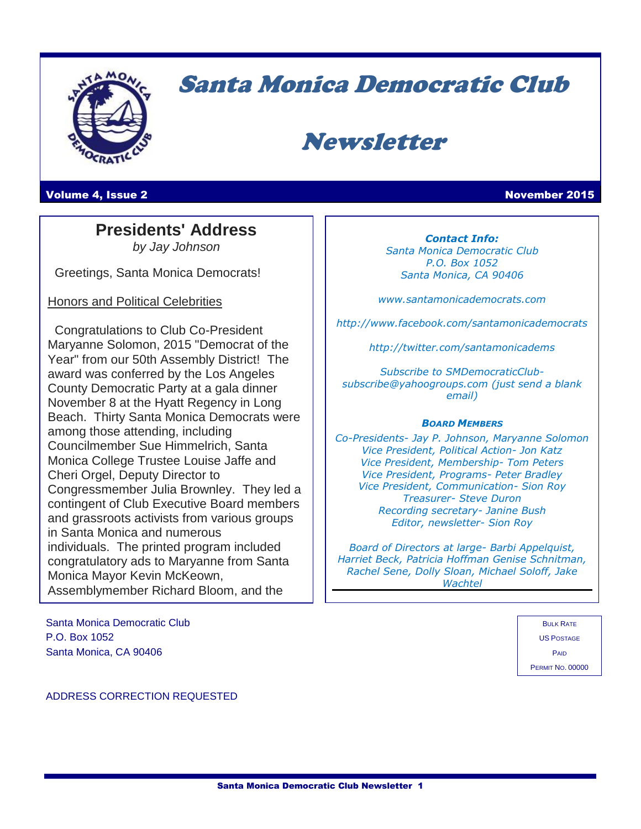

# Santa Monica Democratic Club

# Newsletter

**Volume 4, Issue 2 November 2015** 

## **Presidents' Address**

l.

*by Jay Johnson*

Greetings, Santa Monica Democrats!

Honors and Political Celebrities

 Congratulations to Club Co-President Maryanne Solomon, 2015 "Democrat of the Year" from our 50th Assembly District! The award was conferred by the Los Angeles County Democratic Party at a gala dinner November 8 at the Hyatt Regency in Long Beach. Thirty Santa Monica Democrats were among those attending, including Councilmember Sue Himmelrich, Santa Monica College Trustee Louise Jaffe and Cheri Orgel, Deputy Director to Congressmember Julia Brownley. They led a contingent of Club Executive Board members and grassroots activists from various groups in Santa Monica and numerous individuals. The printed program included congratulatory ads to Maryanne from Santa Monica Mayor Kevin McKeown, Assemblymember Richard Bloom, and the

Santa Monica Democratic Club P.O. Box 1052 Santa Monica, CA 90406

*Contact Info: Santa Monica Democratic Club P.O. Box 1052 Santa Monica, CA 90406*

*www.santamonicademocrats.com*

*http://www.facebook.com/santamonicademocrats*

*http://twitter.com/santamonicadems*

*Subscribe to SMDemocraticClubsubscribe@yahoogroups.com (just send a blank email)*

#### *BOARD MEMBERS*

*Co-Presidents- Jay P. Johnson, Maryanne Solomon Vice President, Political Action- Jon Katz Vice President, Membership- Tom Peters Vice President, Programs- Peter Bradley Vice President, Communication- Sion Roy Treasurer- Steve Duron Recording secretary- Janine Bush Editor, newsletter- Sion Roy*

*Board of Directors at large- Barbi Appelquist, Harriet Beck, Patricia Hoffman Genise Schnitman, Rachel Sene, Dolly Sloan, Michael Soloff, Jake Wachtel*

> **BULK RATE** US POSTAGE PAID PERMIT NO. 00000

ADDRESS CORRECTION REQUESTED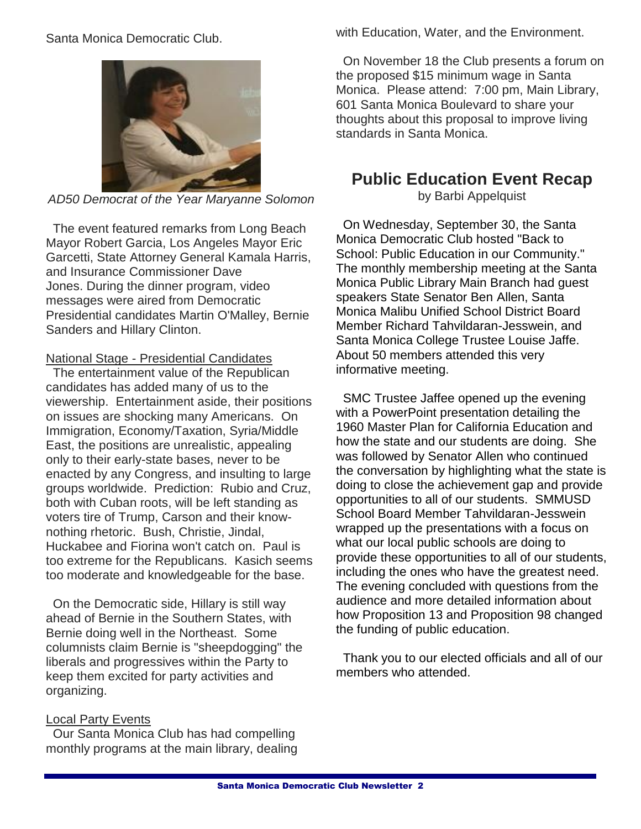Santa Monica Democratic Club.



*AD50 Democrat of the Year Maryanne Solomon*

 The event featured remarks from Long Beach Mayor Robert Garcia, Los Angeles Mayor Eric Garcetti, State Attorney General Kamala Harris, and Insurance Commissioner Dave Jones. During the dinner program, video messages were aired from Democratic Presidential candidates Martin O'Malley, Bernie Sanders and Hillary Clinton.

#### National Stage - Presidential Candidates

 The entertainment value of the Republican candidates has added many of us to the viewership. Entertainment aside, their positions on issues are shocking many Americans. On Immigration, Economy/Taxation, Syria/Middle East, the positions are unrealistic, appealing only to their early-state bases, never to be enacted by any Congress, and insulting to large groups worldwide. Prediction: Rubio and Cruz, both with Cuban roots, will be left standing as voters tire of Trump, Carson and their knownothing rhetoric. Bush, Christie, Jindal, Huckabee and Fiorina won't catch on. Paul is too extreme for the Republicans. Kasich seems too moderate and knowledgeable for the base.

 On the Democratic side, Hillary is still way ahead of Bernie in the Southern States, with Bernie doing well in the Northeast. Some columnists claim Bernie is "sheepdogging" the liberals and progressives within the Party to keep them excited for party activities and organizing.

### **Local Party Events**

 Our Santa Monica Club has had compelling monthly programs at the main library, dealing with Education, Water, and the Environment.

 On November 18 the Club presents a forum on the proposed \$15 minimum wage in Santa Monica. Please attend: 7:00 pm, Main Library, 601 Santa Monica Boulevard to share your thoughts about this proposal to improve living standards in Santa Monica.

## **Public Education Event Recap**

by Barbi Appelquist

 On Wednesday, September 30, the Santa Monica Democratic Club hosted "Back to School: Public Education in our Community." The monthly membership meeting at the Santa Monica Public Library Main Branch had guest speakers State Senator Ben Allen, Santa Monica Malibu Unified School District Board Member Richard Tahvildaran-Jesswein, and Santa Monica College Trustee Louise Jaffe. About 50 members attended this very informative meeting.

 SMC Trustee Jaffee opened up the evening with a PowerPoint presentation detailing the 1960 Master Plan for California Education and how the state and our students are doing. She was followed by Senator Allen who continued the conversation by highlighting what the state is doing to close the achievement gap and provide opportunities to all of our students. SMMUSD School Board Member Tahvildaran-Jesswein wrapped up the presentations with a focus on what our local public schools are doing to provide these opportunities to all of our students, including the ones who have the greatest need. The evening concluded with questions from the audience and more detailed information about how Proposition 13 and Proposition 98 changed the funding of public education.

 Thank you to our elected officials and all of our members who attended.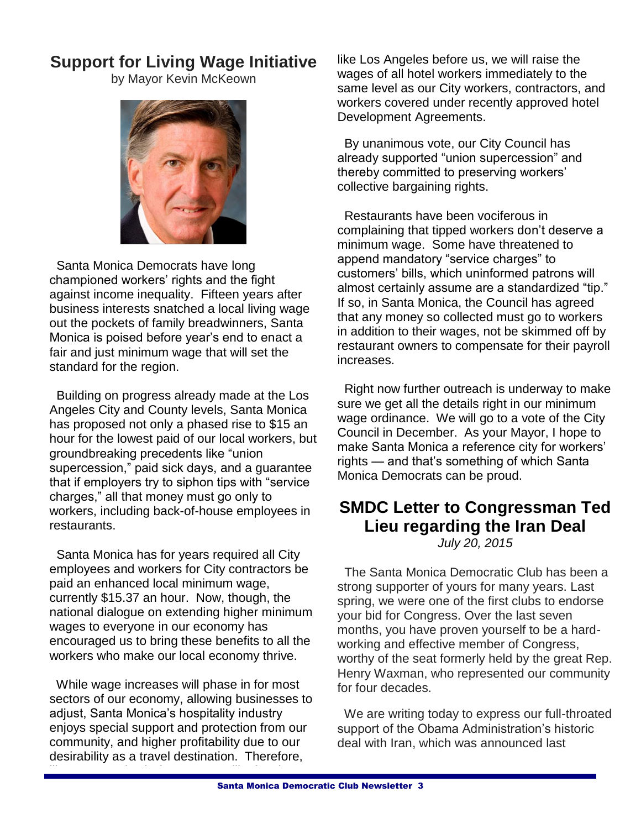# **Support for Living Wage Initiative**

by Mayor Kevin McKeown



 Santa Monica Democrats have long championed workers' rights and the fight against income inequality. Fifteen years after business interests snatched a local living wage out the pockets of family breadwinners, Santa Monica is poised before year's end to enact a fair and just minimum wage that will set the standard for the region.

 Building on progress already made at the Los Angeles City and County levels, Santa Monica has proposed not only a phased rise to \$15 an hour for the lowest paid of our local workers, but groundbreaking precedents like "union supercession," paid sick days, and a guarantee that if employers try to siphon tips with "service charges," all that money must go only to workers, including back-of-house employees in restaurants.

 Santa Monica has for years required all City employees and workers for City contractors be paid an enhanced local minimum wage, currently \$15.37 an hour. Now, though, the national dialogue on extending higher minimum wages to everyone in our economy has encouraged us to bring these benefits to all the workers who make our local economy thrive.

 While wage increases will phase in for most sectors of our economy, allowing businesses to adjust, Santa Monica's hospitality industry enjoys special support and protection from our community, and higher profitability due to our desirability as a travel destination. Therefore,

like Los Angeles before us, we will raise the

like Los Angeles before us, we will raise the wages of all hotel workers immediately to the same level as our City workers, contractors, and workers covered under recently approved hotel Development Agreements.

 By unanimous vote, our City Council has already supported "union supercession" and thereby committed to preserving workers' collective bargaining rights.

 Restaurants have been vociferous in complaining that tipped workers don't deserve a minimum wage. Some have threatened to append mandatory "service charges" to customers' bills, which uninformed patrons will almost certainly assume are a standardized "tip." If so, in Santa Monica, the Council has agreed that any money so collected must go to workers in addition to their wages, not be skimmed off by restaurant owners to compensate for their payroll increases.

 Right now further outreach is underway to make sure we get all the details right in our minimum wage ordinance. We will go to a vote of the City Council in December. As your Mayor, I hope to make Santa Monica a reference city for workers' rights — and that's something of which Santa Monica Democrats can be proud.

# **SMDC Letter to Congressman Ted Lieu regarding the Iran Deal**

*July 20, 2015*

 The Santa Monica Democratic Club has been a strong supporter of yours for many years. Last spring, we were one of the first clubs to endorse your bid for Congress. Over the last seven months, you have proven yourself to be a hardworking and effective member of Congress, worthy of the seat formerly held by the great Rep. Henry Waxman, who represented our community for four decades.

 We are writing today to express our full-throated support of the Obama Administration's historic deal with Iran, which was announced last